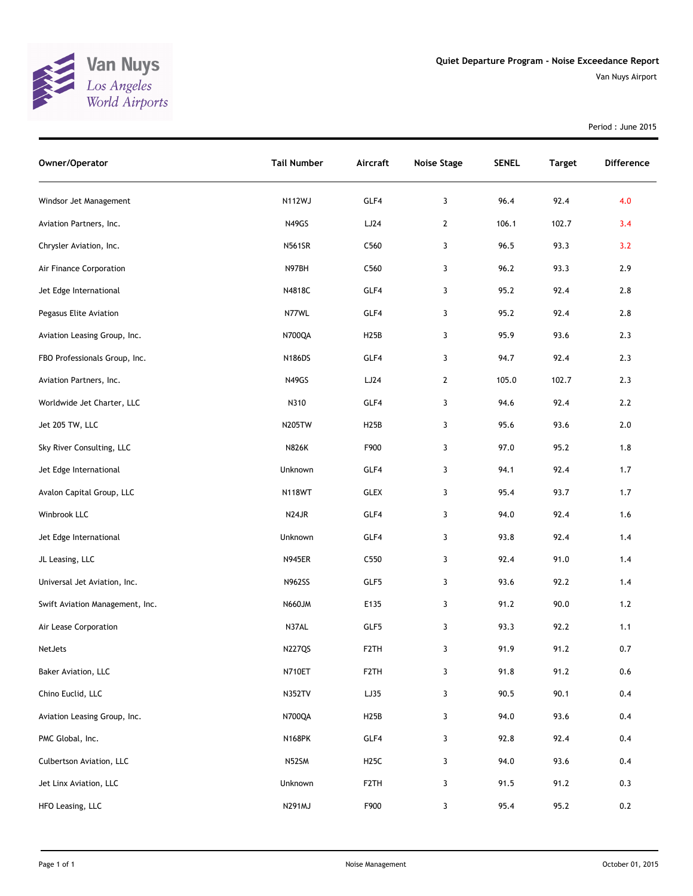

Van Nuys Airport

Period : June 2015

| Owner/Operator                  | <b>Tail Number</b> | Aircraft          | <b>Noise Stage</b> | <b>SENEL</b> | <b>Target</b> | <b>Difference</b> |
|---------------------------------|--------------------|-------------------|--------------------|--------------|---------------|-------------------|
| Windsor Jet Management          | N112WJ             | GLF4              | 3                  | 96.4         | 92.4          | 4.0               |
| Aviation Partners, Inc.         | N49GS              | LJ24              | $\overline{2}$     | 106.1        | 102.7         | 3.4               |
| Chrysler Aviation, Inc.         | <b>N561SR</b>      | C <sub>560</sub>  | 3                  | 96.5         | 93.3          | 3.2               |
| Air Finance Corporation         | N97BH              | C <sub>560</sub>  | 3                  | 96.2         | 93.3          | 2.9               |
| Jet Edge International          | N4818C             | GLF4              | 3                  | 95.2         | 92.4          | 2.8               |
| Pegasus Elite Aviation          | N77WL              | GLF4              | 3                  | 95.2         | 92.4          | 2.8               |
| Aviation Leasing Group, Inc.    | N700QA             | H <sub>25</sub> B | 3                  | 95.9         | 93.6          | 2.3               |
| FBO Professionals Group, Inc.   | N186DS             | GLF4              | 3                  | 94.7         | 92.4          | 2.3               |
| Aviation Partners, Inc.         | N49GS              | LJ24              | $\overline{2}$     | 105.0        | 102.7         | 2.3               |
| Worldwide Jet Charter, LLC      | N310               | GLF4              | 3                  | 94.6         | 92.4          | 2.2               |
| Jet 205 TW, LLC                 | <b>N205TW</b>      | H <sub>25</sub> B | 3                  | 95.6         | 93.6          | 2.0               |
| Sky River Consulting, LLC       | <b>N826K</b>       | F900              | 3                  | 97.0         | 95.2          | 1.8               |
| Jet Edge International          | Unknown            | GLF4              | 3                  | 94.1         | 92.4          | 1.7               |
| Avalon Capital Group, LLC       | <b>N118WT</b>      | <b>GLEX</b>       | 3                  | 95.4         | 93.7          | 1.7               |
| Winbrook LLC                    | N <sub>24</sub> JR | GLF4              | 3                  | 94.0         | 92.4          | 1.6               |
| Jet Edge International          | Unknown            | GLF4              | 3                  | 93.8         | 92.4          | 1.4               |
| JL Leasing, LLC                 | <b>N945ER</b>      | C <sub>550</sub>  | 3                  | 92.4         | 91.0          | 1.4               |
| Universal Jet Aviation, Inc.    | <b>N962SS</b>      | GLF5              | 3                  | 93.6         | 92.2          | 1.4               |
| Swift Aviation Management, Inc. | <b>N660JM</b>      | E135              | 3                  | 91.2         | 90.0          | $1.2$             |
| Air Lease Corporation           | N37AL              | GLF5              | 3                  | 93.3         | 92.2          | 1.1               |
| NetJets                         | <b>N227QS</b>      | F <sub>2</sub> TH | 3                  | 91.9         | 91.2          | $0.7\,$           |
| Baker Aviation, LLC             | N710ET             | F <sub>2</sub> TH | 3                  | 91.8         | 91.2          | 0.6               |
| Chino Euclid, LLC               | <b>N352TV</b>      | LJ35              | 3                  | 90.5         | 90.1          | 0.4               |
| Aviation Leasing Group, Inc.    | N700QA             | H25B              | 3                  | 94.0         | 93.6          | 0.4               |
| PMC Global, Inc.                | <b>N168PK</b>      | GLF4              | 3                  | 92.8         | 92.4          | 0.4               |
| Culbertson Aviation, LLC        | N52SM              | H <sub>25</sub> C | 3                  | 94.0         | 93.6          | 0.4               |
| Jet Linx Aviation, LLC          | Unknown            | F <sub>2</sub> TH | 3                  | 91.5         | 91.2          | 0.3               |
| HFO Leasing, LLC                | N291MJ             | F900              | 3                  | 95.4         | 95.2          | 0.2               |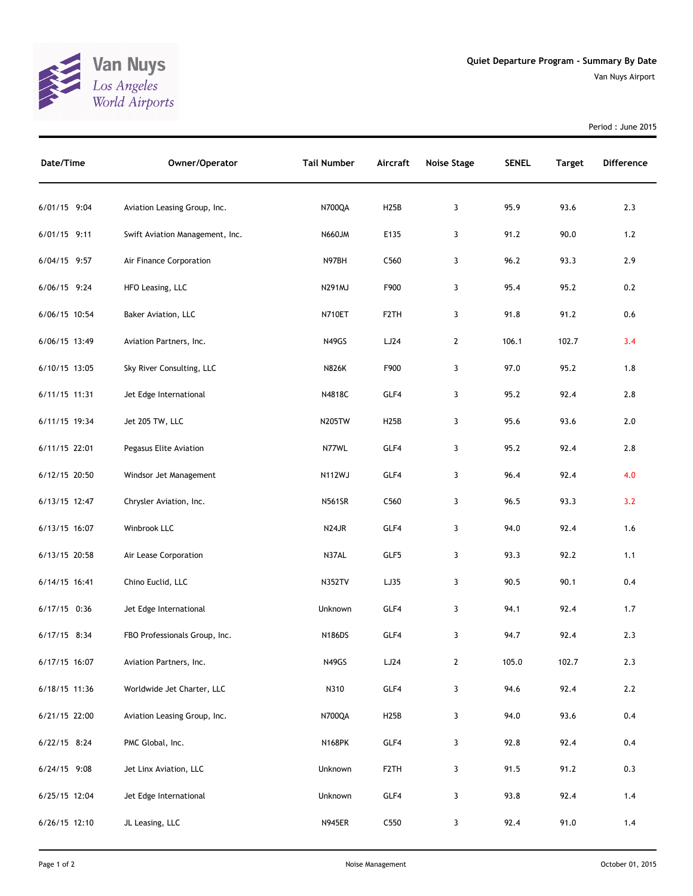

Period : June 2015

| Date/Time     | Owner/Operator                  | <b>Tail Number</b> | Aircraft          | <b>Noise Stage</b> | <b>SENEL</b> | <b>Target</b> | <b>Difference</b> |
|---------------|---------------------------------|--------------------|-------------------|--------------------|--------------|---------------|-------------------|
| 6/01/15 9:04  | Aviation Leasing Group, Inc.    | N700QA             | H25B              | 3                  | 95.9         | 93.6          | 2.3               |
| 6/01/15 9:11  | Swift Aviation Management, Inc. | <b>N660JM</b>      | E135              | 3                  | 91.2         | 90.0          | 1.2               |
| 6/04/15 9:57  | Air Finance Corporation         | N97BH              | C560              | 3                  | 96.2         | 93.3          | 2.9               |
| 6/06/15 9:24  | HFO Leasing, LLC                | <b>N291MJ</b>      | F900              | 3                  | 95.4         | 95.2          | 0.2               |
| 6/06/15 10:54 | Baker Aviation, LLC             | <b>N710ET</b>      | F <sub>2</sub> TH | 3                  | 91.8         | 91.2          | 0.6               |
| 6/06/15 13:49 | Aviation Partners, Inc.         | N49GS              | LJ24              | $\mathbf{2}$       | 106.1        | 102.7         | 3.4               |
| 6/10/15 13:05 | Sky River Consulting, LLC       | <b>N826K</b>       | F900              | 3                  | 97.0         | 95.2          | 1.8               |
| 6/11/15 11:31 | Jet Edge International          | N4818C             | GLF4              | 3                  | 95.2         | 92.4          | 2.8               |
| 6/11/15 19:34 | Jet 205 TW, LLC                 | <b>N205TW</b>      | H25B              | 3                  | 95.6         | 93.6          | 2.0               |
| 6/11/15 22:01 | Pegasus Elite Aviation          | N77WL              | GLF4              | 3                  | 95.2         | 92.4          | 2.8               |
| 6/12/15 20:50 | Windsor Jet Management          | <b>N112WJ</b>      | GLF4              | 3                  | 96.4         | 92.4          | 4.0               |
| 6/13/15 12:47 | Chrysler Aviation, Inc.         | <b>N561SR</b>      | C560              | 3                  | 96.5         | 93.3          | 3.2               |
| 6/13/15 16:07 | Winbrook LLC                    | N24JR              | GLF4              | 3                  | 94.0         | 92.4          | 1.6               |
| 6/13/15 20:58 | Air Lease Corporation           | N37AL              | GLF5              | 3                  | 93.3         | 92.2          | 1.1               |
| 6/14/15 16:41 | Chino Euclid, LLC               | <b>N352TV</b>      | LJ35              | 3                  | 90.5         | 90.1          | 0.4               |
| 6/17/15 0:36  | Jet Edge International          | Unknown            | GLF4              | 3                  | 94.1         | 92.4          | 1.7               |
| 6/17/15 8:34  | FBO Professionals Group, Inc.   | N186DS             | GLF4              | 3                  | 94.7         | 92.4          | 2.3               |
| 6/17/15 16:07 | Aviation Partners, Inc.         | N49GS              | LJ24              | $\mathbf{2}$       | 105.0        | 102.7         | 2.3               |
| 6/18/15 11:36 | Worldwide Jet Charter, LLC      | N310               | GLF4              | 3                  | 94.6         | 92.4          | $2.2\,$           |
| 6/21/15 22:00 | Aviation Leasing Group, Inc.    | N700QA             | <b>H25B</b>       | 3                  | 94.0         | 93.6          | 0.4               |
| 6/22/15 8:24  | PMC Global, Inc.                | <b>N168PK</b>      | GLF4              | 3                  | 92.8         | 92.4          | 0.4               |
| 6/24/15 9:08  | Jet Linx Aviation, LLC          | Unknown            | F2TH              | 3                  | 91.5         | 91.2          | 0.3               |
| 6/25/15 12:04 | Jet Edge International          | Unknown            | GLF4              | 3                  | 93.8         | 92.4          | $1.4$             |
| 6/26/15 12:10 | JL Leasing, LLC                 | <b>N945ER</b>      | C550              | 3                  | 92.4         | 91.0          | 1.4               |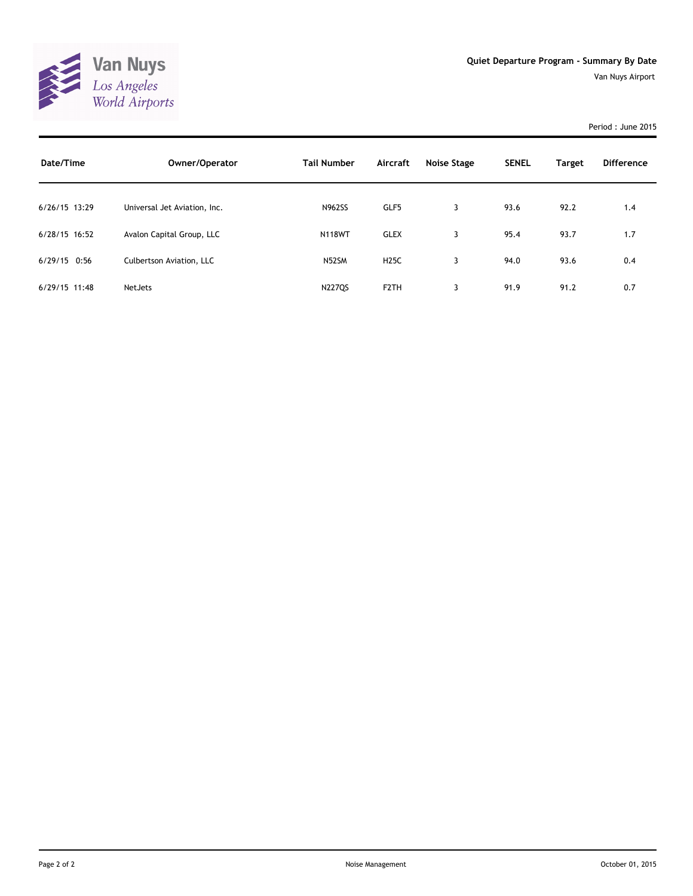

## Period : June 2015

| Date/Time      | Owner/Operator               | <b>Tail Number</b> | Aircraft          | Noise Stage | <b>SENEL</b> | <b>Target</b> | Difference |
|----------------|------------------------------|--------------------|-------------------|-------------|--------------|---------------|------------|
| 6/26/15 13:29  | Universal Jet Aviation, Inc. | <b>N962SS</b>      | GLF5              | 3           | 93.6         | 92.2          | 1.4        |
| 6/28/15 16:52  | Avalon Capital Group, LLC    | <b>N118WT</b>      | <b>GLEX</b>       | 3           | 95.4         | 93.7          | 1.7        |
| $6/29/15$ 0:56 | Culbertson Aviation, LLC     | N52SM              | <b>H25C</b>       | 3           | 94.0         | 93.6          | 0.4        |
| 6/29/15 11:48  | <b>NetJets</b>               | <b>N227QS</b>      | F <sub>2</sub> TH | 3           | 91.9         | 91.2          | 0.7        |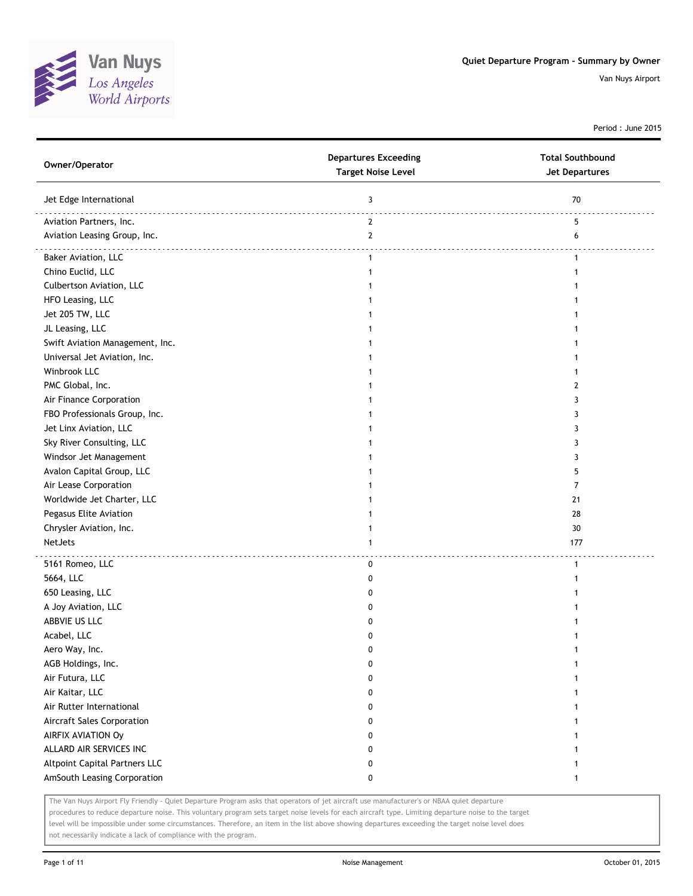

Period : June 2015

| Owner/Operator                       | <b>Departures Exceeding</b><br><b>Target Noise Level</b> | <b>Total Southbound</b><br><b>Jet Departures</b> |
|--------------------------------------|----------------------------------------------------------|--------------------------------------------------|
| Jet Edge International               | 3                                                        | 70                                               |
| Aviation Partners, Inc.              | $\overline{2}$                                           | 5                                                |
| Aviation Leasing Group, Inc.         | $\mathbf{2}$                                             | 6                                                |
| Baker Aviation, LLC                  | $\mathbf{1}$                                             | $\mathbf{1}$                                     |
| Chino Euclid, LLC                    | 1                                                        |                                                  |
| Culbertson Aviation, LLC             |                                                          |                                                  |
| HFO Leasing, LLC                     |                                                          |                                                  |
| Jet 205 TW, LLC                      |                                                          |                                                  |
| JL Leasing, LLC                      |                                                          |                                                  |
| Swift Aviation Management, Inc.      |                                                          |                                                  |
| Universal Jet Aviation, Inc.         |                                                          |                                                  |
| Winbrook LLC                         |                                                          |                                                  |
| PMC Global, Inc.                     |                                                          | 2                                                |
| Air Finance Corporation              |                                                          | 3                                                |
| FBO Professionals Group, Inc.        |                                                          | 3                                                |
| Jet Linx Aviation, LLC               |                                                          | 3                                                |
| Sky River Consulting, LLC            |                                                          | 3                                                |
| Windsor Jet Management               |                                                          | 3                                                |
| Avalon Capital Group, LLC            |                                                          | 5                                                |
| Air Lease Corporation                |                                                          | 7                                                |
| Worldwide Jet Charter, LLC           |                                                          | 21                                               |
| Pegasus Elite Aviation               |                                                          | 28                                               |
| Chrysler Aviation, Inc.              |                                                          | 30                                               |
| NetJets                              | 1                                                        | 177                                              |
| 5161 Romeo, LLC                      |                                                          | $\mathbf{1}$                                     |
| 5664, LLC                            | 0<br>0                                                   |                                                  |
| 650 Leasing, LLC                     | 0                                                        |                                                  |
| A Joy Aviation, LLC                  | 0                                                        |                                                  |
| ABBVIE US LLC                        | 0                                                        |                                                  |
| Acabel, LLC                          | 0                                                        |                                                  |
|                                      | U                                                        |                                                  |
| Aero Way, Inc.                       | 0                                                        | 1                                                |
| AGB Holdings, Inc.                   |                                                          | -1                                               |
| Air Futura, LLC                      | 0                                                        |                                                  |
| Air Kaitar, LLC                      | 0                                                        | 1                                                |
| Air Rutter International             | 0                                                        |                                                  |
| Aircraft Sales Corporation           | 0                                                        |                                                  |
| AIRFIX AVIATION Oy                   | 0                                                        |                                                  |
| ALLARD AIR SERVICES INC              | 0                                                        |                                                  |
| <b>Altpoint Capital Partners LLC</b> | 0                                                        |                                                  |
| AmSouth Leasing Corporation          | 0                                                        | 1                                                |

The Van Nuys Airport Fly Friendly - Quiet Departure Program asks that operators of jet aircraft use manufacturer's or NBAA quiet departure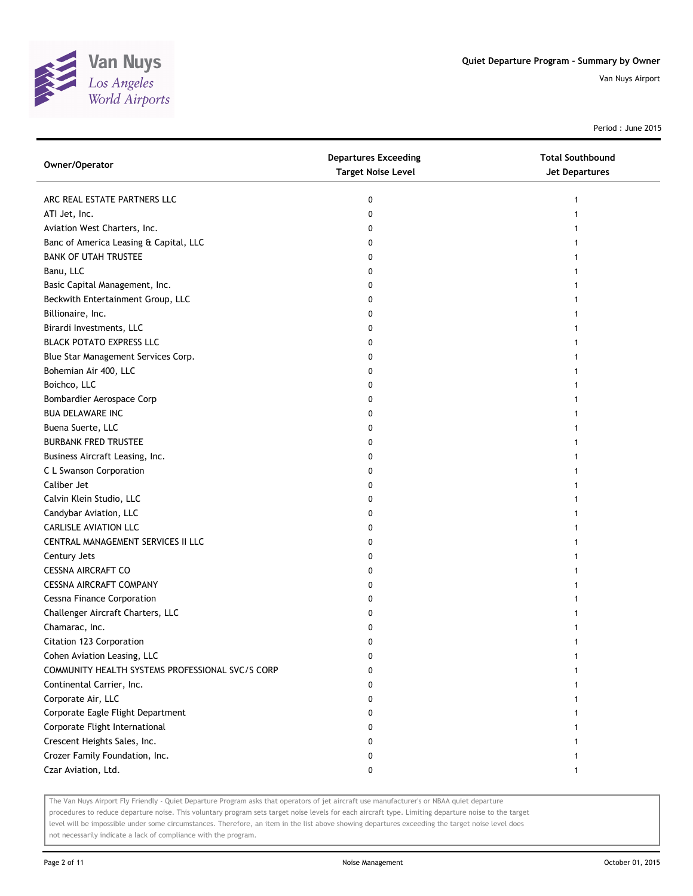

Period : June 2015

| Owner/Operator                                   | <b>Departures Exceeding</b><br><b>Target Noise Level</b> | <b>Total Southbound</b><br><b>Jet Departures</b> |
|--------------------------------------------------|----------------------------------------------------------|--------------------------------------------------|
| ARC REAL ESTATE PARTNERS LLC                     | 0                                                        |                                                  |
| ATI Jet, Inc.                                    | 0                                                        |                                                  |
| Aviation West Charters, Inc.                     | 0                                                        |                                                  |
| Banc of America Leasing & Capital, LLC           | 0                                                        |                                                  |
| <b>BANK OF UTAH TRUSTEE</b>                      | 0                                                        |                                                  |
| Banu, LLC                                        | 0                                                        |                                                  |
| Basic Capital Management, Inc.                   | 0                                                        |                                                  |
| Beckwith Entertainment Group, LLC                | 0                                                        |                                                  |
| Billionaire, Inc.                                | 0                                                        |                                                  |
| Birardi Investments, LLC                         | 0                                                        |                                                  |
| <b>BLACK POTATO EXPRESS LLC</b>                  | 0                                                        |                                                  |
| Blue Star Management Services Corp.              | 0                                                        |                                                  |
| Bohemian Air 400, LLC                            | 0                                                        |                                                  |
| Boichco, LLC                                     | 0                                                        |                                                  |
| Bombardier Aerospace Corp                        | 0                                                        |                                                  |
| <b>BUA DELAWARE INC</b>                          | 0                                                        |                                                  |
| Buena Suerte, LLC                                | 0                                                        |                                                  |
| <b>BURBANK FRED TRUSTEE</b>                      | 0                                                        |                                                  |
| Business Aircraft Leasing, Inc.                  | 0                                                        |                                                  |
| C L Swanson Corporation                          | 0                                                        |                                                  |
| Caliber Jet                                      | 0                                                        |                                                  |
| Calvin Klein Studio, LLC                         | 0                                                        |                                                  |
| Candybar Aviation, LLC                           | 0                                                        |                                                  |
| <b>CARLISLE AVIATION LLC</b>                     | 0                                                        |                                                  |
| CENTRAL MANAGEMENT SERVICES II LLC               | 0                                                        |                                                  |
| Century Jets                                     | 0                                                        |                                                  |
| <b>CESSNA AIRCRAFT CO</b>                        | 0                                                        |                                                  |
| <b>CESSNA AIRCRAFT COMPANY</b>                   | 0                                                        |                                                  |
| <b>Cessna Finance Corporation</b>                | 0                                                        |                                                  |
| Challenger Aircraft Charters, LLC                | 0                                                        |                                                  |
| Chamarac, Inc.                                   | 0                                                        |                                                  |
| Citation 123 Corporation                         | 0                                                        |                                                  |
| Cohen Aviation Leasing, LLC                      | 0                                                        |                                                  |
| COMMUNITY HEALTH SYSTEMS PROFESSIONAL SVC/S CORP | 0                                                        |                                                  |
| Continental Carrier, Inc.                        | 0                                                        |                                                  |
| Corporate Air, LLC                               | 0                                                        |                                                  |
| Corporate Eagle Flight Department                | 0                                                        |                                                  |
| Corporate Flight International                   | 0                                                        |                                                  |
| Crescent Heights Sales, Inc.                     | 0                                                        |                                                  |
| Crozer Family Foundation, Inc.                   | 0                                                        |                                                  |
| Czar Aviation, Ltd.                              | 0                                                        | 1                                                |

The Van Nuys Airport Fly Friendly - Quiet Departure Program asks that operators of jet aircraft use manufacturer's or NBAA quiet departure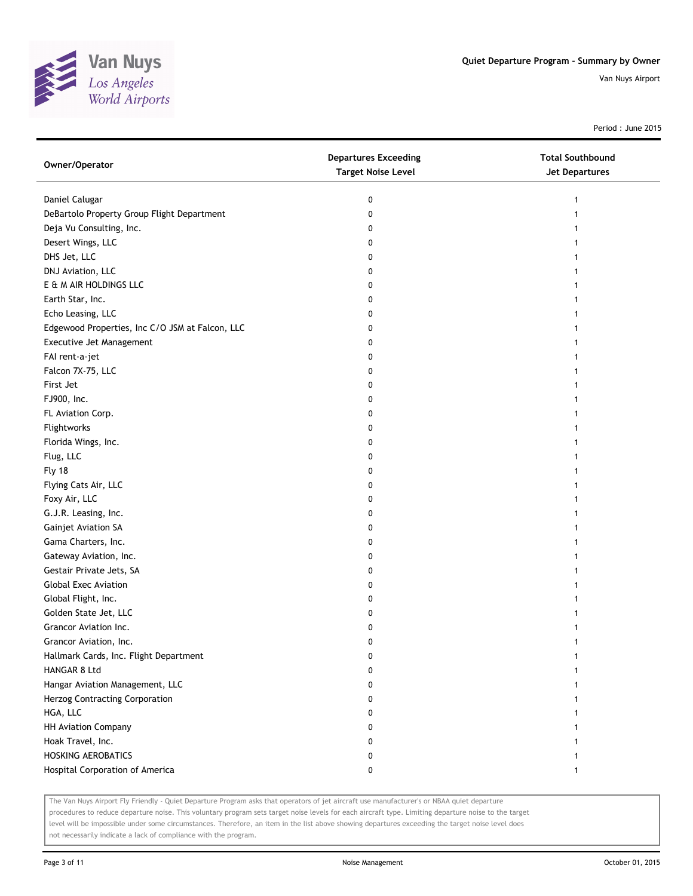

Period : June 2015

| Owner/Operator                                  | <b>Departures Exceeding</b><br><b>Target Noise Level</b> | <b>Total Southbound</b><br><b>Jet Departures</b> |
|-------------------------------------------------|----------------------------------------------------------|--------------------------------------------------|
| Daniel Calugar                                  | 0                                                        |                                                  |
| DeBartolo Property Group Flight Department      | 0                                                        |                                                  |
| Deja Vu Consulting, Inc.                        | 0                                                        |                                                  |
| Desert Wings, LLC                               | 0                                                        |                                                  |
| DHS Jet, LLC                                    | 0                                                        |                                                  |
| DNJ Aviation, LLC                               | 0                                                        |                                                  |
| E & M AIR HOLDINGS LLC                          | 0                                                        |                                                  |
| Earth Star, Inc.                                | 0                                                        |                                                  |
| Echo Leasing, LLC                               | 0                                                        |                                                  |
| Edgewood Properties, Inc C/O JSM at Falcon, LLC | 0                                                        |                                                  |
| Executive Jet Management                        | 0                                                        |                                                  |
| FAI rent-a-jet                                  | 0                                                        |                                                  |
| Falcon 7X-75, LLC                               | 0                                                        |                                                  |
| First Jet                                       | 0                                                        |                                                  |
| FJ900, Inc.                                     | 0                                                        |                                                  |
| FL Aviation Corp.                               | 0                                                        | 1                                                |
| Flightworks                                     | 0                                                        |                                                  |
| Florida Wings, Inc.                             | 0                                                        |                                                  |
| Flug, LLC                                       | 0                                                        |                                                  |
| Fly 18                                          | 0                                                        |                                                  |
| Flying Cats Air, LLC                            | 0                                                        |                                                  |
| Foxy Air, LLC                                   | 0                                                        |                                                  |
| G.J.R. Leasing, Inc.                            | 0                                                        |                                                  |
| Gainjet Aviation SA                             | 0                                                        |                                                  |
| Gama Charters, Inc.                             | 0                                                        |                                                  |
| Gateway Aviation, Inc.                          | 0                                                        |                                                  |
| Gestair Private Jets, SA                        | 0                                                        |                                                  |
| <b>Global Exec Aviation</b>                     | 0                                                        |                                                  |
| Global Flight, Inc.                             | 0                                                        |                                                  |
| Golden State Jet, LLC                           | 0                                                        |                                                  |
| Grancor Aviation Inc.                           | 0                                                        |                                                  |
| Grancor Aviation, Inc.                          | 0                                                        |                                                  |
| Hallmark Cards, Inc. Flight Department          | 0                                                        |                                                  |
| HANGAR 8 Ltd                                    | 0                                                        |                                                  |
| Hangar Aviation Management, LLC                 | 0                                                        |                                                  |
| Herzog Contracting Corporation                  | 0                                                        |                                                  |
| HGA, LLC                                        | 0                                                        |                                                  |
| <b>HH Aviation Company</b>                      | 0                                                        |                                                  |
| Hoak Travel, Inc.                               | 0                                                        |                                                  |
| <b>HOSKING AEROBATICS</b>                       | 0                                                        |                                                  |
| Hospital Corporation of America                 | 0                                                        | 1                                                |

The Van Nuys Airport Fly Friendly - Quiet Departure Program asks that operators of jet aircraft use manufacturer's or NBAA quiet departure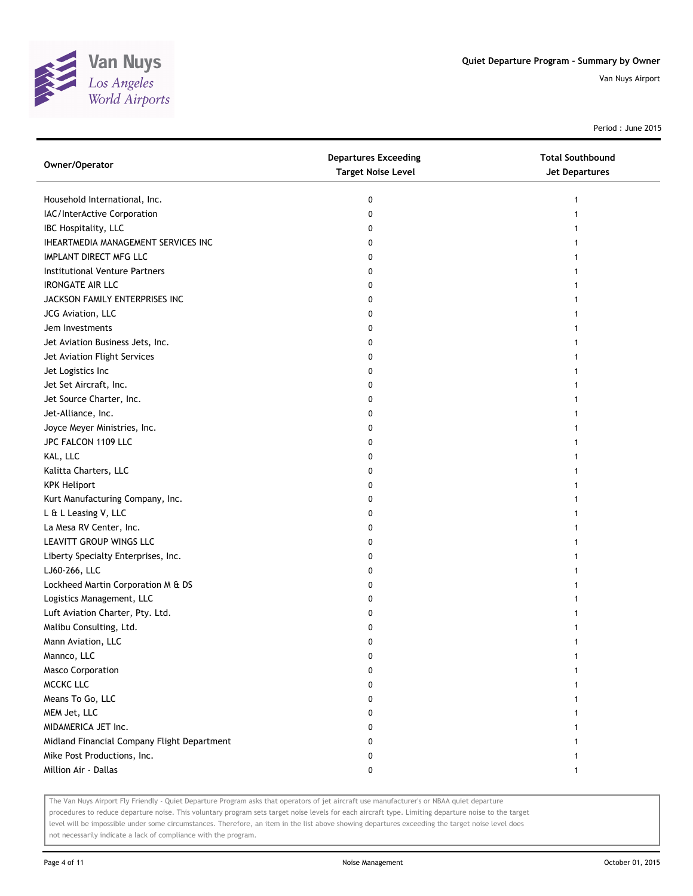

Period : June 2015

| Owner/Operator                              | <b>Departures Exceeding</b><br><b>Target Noise Level</b> | <b>Total Southbound</b><br><b>Jet Departures</b> |
|---------------------------------------------|----------------------------------------------------------|--------------------------------------------------|
| Household International, Inc.               | 0                                                        |                                                  |
| IAC/InterActive Corporation                 | 0                                                        |                                                  |
| IBC Hospitality, LLC                        | 0                                                        |                                                  |
| IHEARTMEDIA MANAGEMENT SERVICES INC         | 0                                                        |                                                  |
| IMPLANT DIRECT MFG LLC                      | 0                                                        |                                                  |
| Institutional Venture Partners              | 0                                                        |                                                  |
| <b>IRONGATE AIR LLC</b>                     | 0                                                        |                                                  |
| JACKSON FAMILY ENTERPRISES INC              | 0                                                        |                                                  |
| JCG Aviation, LLC                           | 0                                                        |                                                  |
| Jem Investments                             | 0                                                        |                                                  |
| Jet Aviation Business Jets, Inc.            | 0                                                        |                                                  |
| Jet Aviation Flight Services                | 0                                                        |                                                  |
| Jet Logistics Inc                           | 0                                                        |                                                  |
| Jet Set Aircraft, Inc.                      | 0                                                        |                                                  |
| Jet Source Charter, Inc.                    | 0                                                        |                                                  |
| Jet-Alliance, Inc.                          | 0                                                        |                                                  |
| Joyce Meyer Ministries, Inc.                | 0                                                        |                                                  |
| JPC FALCON 1109 LLC                         | 0                                                        |                                                  |
| KAL, LLC                                    | 0                                                        |                                                  |
| Kalitta Charters, LLC                       | 0                                                        |                                                  |
| <b>KPK Heliport</b>                         | 0                                                        |                                                  |
| Kurt Manufacturing Company, Inc.            | 0                                                        |                                                  |
| L & L Leasing V, LLC                        | 0                                                        |                                                  |
| La Mesa RV Center, Inc.                     | 0                                                        |                                                  |
| LEAVITT GROUP WINGS LLC                     | 0                                                        |                                                  |
| Liberty Specialty Enterprises, Inc.         | 0                                                        |                                                  |
| LJ60-266, LLC                               | 0                                                        |                                                  |
| Lockheed Martin Corporation M & DS          | 0                                                        |                                                  |
| Logistics Management, LLC                   | 0                                                        |                                                  |
| Luft Aviation Charter, Pty. Ltd.            | 0                                                        |                                                  |
| Malibu Consulting, Ltd.                     | 0                                                        |                                                  |
| Mann Aviation, LLC                          | 0                                                        |                                                  |
| Mannco, LLC                                 | 0                                                        |                                                  |
| <b>Masco Corporation</b>                    | 0                                                        |                                                  |
| MCCKC LLC                                   | 0                                                        |                                                  |
| Means To Go, LLC                            | 0                                                        |                                                  |
| MEM Jet, LLC                                | 0                                                        |                                                  |
| MIDAMERICA JET Inc.                         | 0                                                        |                                                  |
| Midland Financial Company Flight Department | 0                                                        |                                                  |
| Mike Post Productions, Inc.                 | 0                                                        |                                                  |
| Million Air - Dallas                        | 0                                                        | 1                                                |

The Van Nuys Airport Fly Friendly - Quiet Departure Program asks that operators of jet aircraft use manufacturer's or NBAA quiet departure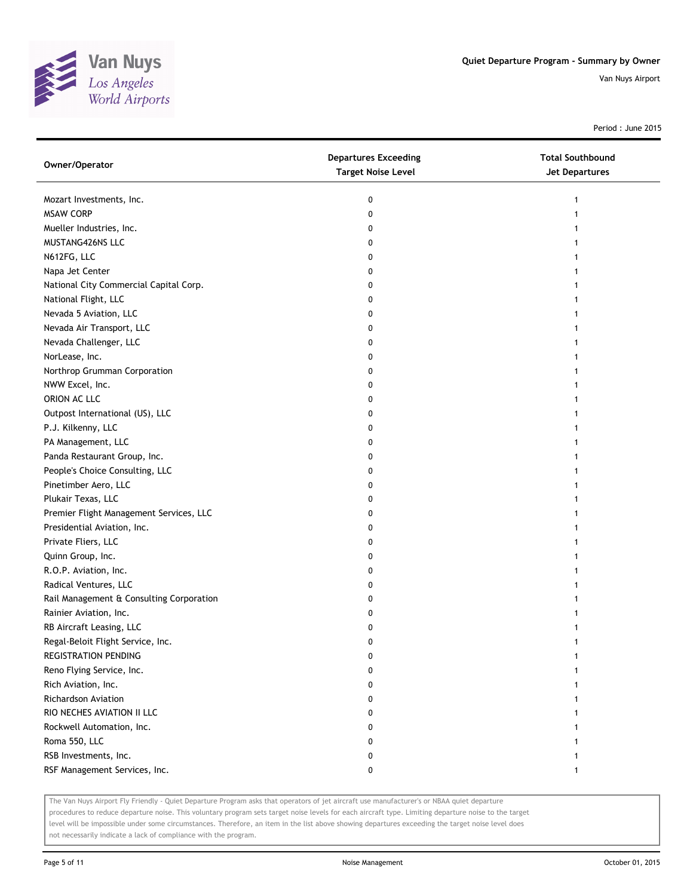

Period : June 2015

| Owner/Operator                           | <b>Departures Exceeding</b><br><b>Target Noise Level</b> | <b>Total Southbound</b><br>Jet Departures |
|------------------------------------------|----------------------------------------------------------|-------------------------------------------|
| Mozart Investments, Inc.                 | 0                                                        | 1                                         |
| <b>MSAW CORP</b>                         | 0                                                        |                                           |
| Mueller Industries, Inc.                 | 0                                                        |                                           |
| MUSTANG426NS LLC                         | 0                                                        |                                           |
| N612FG, LLC                              | 0                                                        |                                           |
| Napa Jet Center                          | 0                                                        |                                           |
| National City Commercial Capital Corp.   | 0                                                        |                                           |
| National Flight, LLC                     | 0                                                        |                                           |
| Nevada 5 Aviation, LLC                   | 0                                                        |                                           |
| Nevada Air Transport, LLC                | 0                                                        |                                           |
| Nevada Challenger, LLC                   | 0                                                        |                                           |
| NorLease, Inc.                           | 0                                                        |                                           |
| Northrop Grumman Corporation             | 0                                                        |                                           |
| NWW Excel, Inc.                          | 0                                                        |                                           |
| ORION AC LLC                             | 0                                                        |                                           |
| Outpost International (US), LLC          | 0                                                        |                                           |
| P.J. Kilkenny, LLC                       | 0                                                        |                                           |
| PA Management, LLC                       | 0                                                        |                                           |
| Panda Restaurant Group, Inc.             | 0                                                        |                                           |
| People's Choice Consulting, LLC          | 0                                                        |                                           |
| Pinetimber Aero, LLC                     | 0                                                        |                                           |
| Plukair Texas, LLC                       | 0                                                        |                                           |
| Premier Flight Management Services, LLC  | 0                                                        |                                           |
| Presidential Aviation, Inc.              | 0                                                        |                                           |
| Private Fliers, LLC                      | 0                                                        |                                           |
| Quinn Group, Inc.                        | 0                                                        |                                           |
| R.O.P. Aviation, Inc.                    | 0                                                        |                                           |
| Radical Ventures, LLC                    | 0                                                        |                                           |
| Rail Management & Consulting Corporation | 0                                                        |                                           |
| Rainier Aviation, Inc.                   | 0                                                        |                                           |
| RB Aircraft Leasing, LLC                 | 0                                                        |                                           |
| Regal-Beloit Flight Service, Inc.        | 0                                                        |                                           |
| <b>REGISTRATION PENDING</b>              | 0                                                        |                                           |
| Reno Flying Service, Inc.                | o                                                        |                                           |
| Rich Aviation, Inc.                      | 0                                                        |                                           |
| Richardson Aviation                      | 0                                                        |                                           |
| RIO NECHES AVIATION II LLC               | 0                                                        |                                           |
| Rockwell Automation, Inc.                | 0                                                        |                                           |
| Roma 550, LLC                            | 0                                                        |                                           |
| RSB Investments, Inc.                    | 0                                                        |                                           |
| RSF Management Services, Inc.            | 0                                                        |                                           |

The Van Nuys Airport Fly Friendly - Quiet Departure Program asks that operators of jet aircraft use manufacturer's or NBAA quiet departure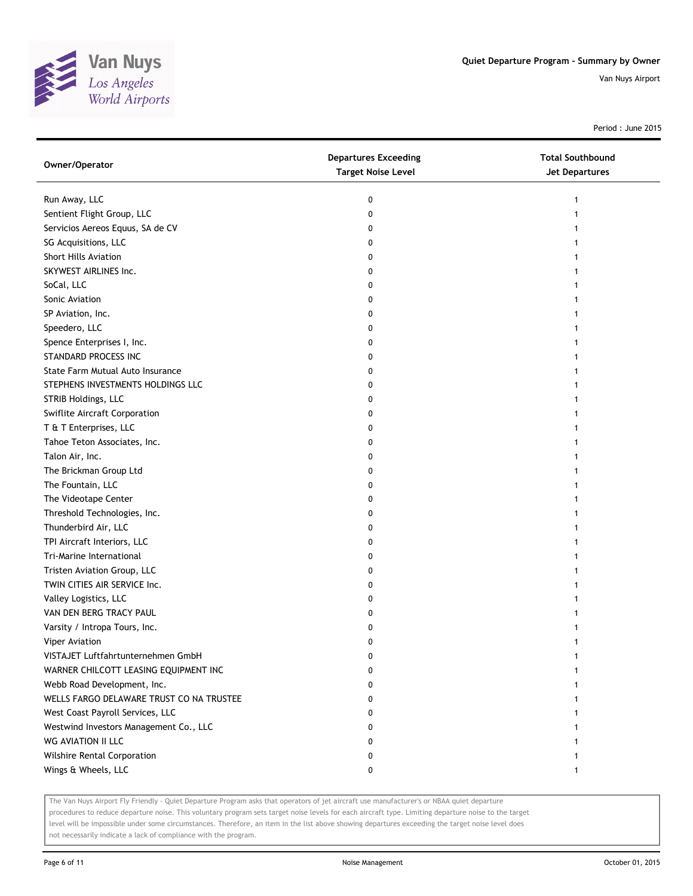

Period : June 2015

| Owner/Operator                           | <b>Departures Exceeding</b><br><b>Target Noise Level</b> | <b>Total Southbound</b><br><b>Jet Departures</b> |
|------------------------------------------|----------------------------------------------------------|--------------------------------------------------|
| Run Away, LLC                            | 0                                                        | 1                                                |
| Sentient Flight Group, LLC               | 0                                                        |                                                  |
| Servicios Aereos Equus, SA de CV         | 0                                                        |                                                  |
| SG Acquisitions, LLC                     | 0                                                        |                                                  |
| <b>Short Hills Aviation</b>              | 0                                                        |                                                  |
| SKYWEST AIRLINES Inc.                    | 0                                                        |                                                  |
| SoCal, LLC                               | 0                                                        |                                                  |
| Sonic Aviation                           | 0                                                        |                                                  |
| SP Aviation, Inc.                        | 0                                                        |                                                  |
| Speedero, LLC                            | 0                                                        |                                                  |
| Spence Enterprises I, Inc.               | 0                                                        |                                                  |
| STANDARD PROCESS INC                     | 0                                                        |                                                  |
| State Farm Mutual Auto Insurance         | 0                                                        |                                                  |
| STEPHENS INVESTMENTS HOLDINGS LLC        | 0                                                        |                                                  |
| STRIB Holdings, LLC                      | 0                                                        |                                                  |
| Swiflite Aircraft Corporation            | 0                                                        |                                                  |
| T & T Enterprises, LLC                   | 0                                                        |                                                  |
| Tahoe Teton Associates, Inc.             | 0                                                        |                                                  |
| Talon Air, Inc.                          | 0                                                        |                                                  |
| The Brickman Group Ltd                   | 0                                                        |                                                  |
| The Fountain, LLC                        | 0                                                        |                                                  |
| The Videotape Center                     | 0                                                        |                                                  |
| Threshold Technologies, Inc.             | 0                                                        |                                                  |
| Thunderbird Air, LLC                     | 0                                                        |                                                  |
| TPI Aircraft Interiors, LLC              | 0                                                        |                                                  |
| Tri-Marine International                 | 0                                                        |                                                  |
| Tristen Aviation Group, LLC              | 0                                                        |                                                  |
| TWIN CITIES AIR SERVICE Inc.             | 0                                                        |                                                  |
| Valley Logistics, LLC                    | 0                                                        |                                                  |
| VAN DEN BERG TRACY PAUL                  | 0                                                        |                                                  |
| Varsity / Intropa Tours, Inc.            | 0                                                        |                                                  |
| Viper Aviation                           | 0                                                        |                                                  |
| VISTAJET Luftfahrtunternehmen GmbH       | 0                                                        |                                                  |
| WARNER CHILCOTT LEASING EQUIPMENT INC    | 0                                                        |                                                  |
| Webb Road Development, Inc.              | 0                                                        |                                                  |
| WELLS FARGO DELAWARE TRUST CO NA TRUSTEE | 0                                                        |                                                  |
| West Coast Payroll Services, LLC         | 0                                                        |                                                  |
| Westwind Investors Management Co., LLC   | 0                                                        |                                                  |
| WG AVIATION II LLC                       | 0                                                        |                                                  |
| Wilshire Rental Corporation              | 0                                                        |                                                  |
| Wings & Wheels, LLC                      | 0                                                        | $\mathbf{1}$                                     |

The Van Nuys Airport Fly Friendly - Quiet Departure Program asks that operators of jet aircraft use manufacturer's or NBAA quiet departure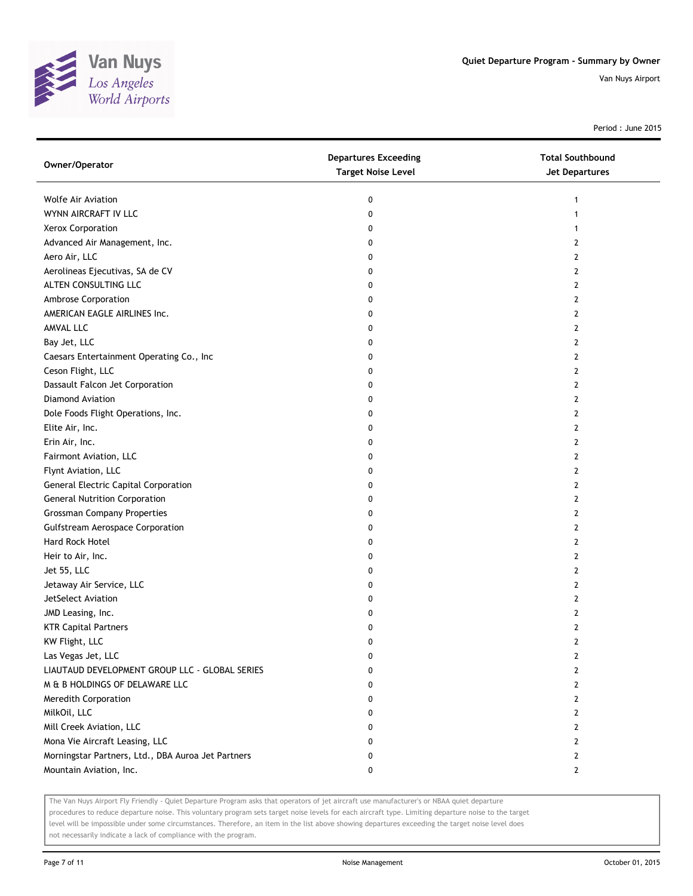

Period : June 2015

| Owner/Operator                                     | <b>Departures Exceeding</b><br><b>Target Noise Level</b> | <b>Total Southbound</b><br>Jet Departures |
|----------------------------------------------------|----------------------------------------------------------|-------------------------------------------|
| Wolfe Air Aviation                                 | 0                                                        | 1                                         |
| WYNN AIRCRAFT IV LLC                               | 0                                                        | 1                                         |
| Xerox Corporation                                  | 0                                                        |                                           |
| Advanced Air Management, Inc.                      | 0                                                        | 2                                         |
| Aero Air, LLC                                      | 0                                                        | 2                                         |
| Aerolineas Ejecutivas, SA de CV                    | 0                                                        | 2                                         |
| ALTEN CONSULTING LLC                               | 0                                                        | 2                                         |
| Ambrose Corporation                                | 0                                                        | 2                                         |
| AMERICAN EAGLE AIRLINES Inc.                       | 0                                                        | 2                                         |
| AMVAL LLC                                          | 0                                                        | 2                                         |
| Bay Jet, LLC                                       | 0                                                        | 2                                         |
| Caesars Entertainment Operating Co., Inc           | 0                                                        | 2                                         |
| Ceson Flight, LLC                                  | 0                                                        | 2                                         |
| Dassault Falcon Jet Corporation                    | 0                                                        | 2                                         |
| Diamond Aviation                                   | 0                                                        | 2                                         |
| Dole Foods Flight Operations, Inc.                 | 0                                                        | 2                                         |
| Elite Air, Inc.                                    | 0                                                        | 2                                         |
| Erin Air, Inc.                                     | 0                                                        | 2                                         |
| Fairmont Aviation, LLC                             | 0                                                        | 2                                         |
| Flynt Aviation, LLC                                | 0                                                        | 2                                         |
| <b>General Electric Capital Corporation</b>        | 0                                                        | 2                                         |
| <b>General Nutrition Corporation</b>               | 0                                                        | 2                                         |
| <b>Grossman Company Properties</b>                 | 0                                                        | 2                                         |
| Gulfstream Aerospace Corporation                   | 0                                                        | 2                                         |
| Hard Rock Hotel                                    | 0                                                        | 2                                         |
| Heir to Air, Inc.                                  | 0                                                        | 2                                         |
| Jet 55, LLC                                        | 0                                                        | 2                                         |
| Jetaway Air Service, LLC                           | 0                                                        | 2                                         |
| JetSelect Aviation                                 | 0                                                        | 2                                         |
| JMD Leasing, Inc.                                  | 0                                                        | 2                                         |
| <b>KTR Capital Partners</b>                        | 0                                                        | 2                                         |
| KW Flight, LLC                                     | 0                                                        | 2                                         |
| Las Vegas Jet, LLC                                 | 0                                                        | 2                                         |
| LIAUTAUD DEVELOPMENT GROUP LLC - GLOBAL SERIES     | 0                                                        | 2                                         |
| M & B HOLDINGS OF DELAWARE LLC                     | 0                                                        | 2                                         |
| Meredith Corporation                               | 0                                                        | 2                                         |
| MilkOil, LLC                                       | 0                                                        | 2                                         |
| Mill Creek Aviation, LLC                           | 0                                                        | 2                                         |
| Mona Vie Aircraft Leasing, LLC                     | 0                                                        | 2                                         |
| Morningstar Partners, Ltd., DBA Auroa Jet Partners | 0                                                        | 2                                         |
| Mountain Aviation, Inc.                            | 0                                                        | $\overline{2}$                            |

The Van Nuys Airport Fly Friendly - Quiet Departure Program asks that operators of jet aircraft use manufacturer's or NBAA quiet departure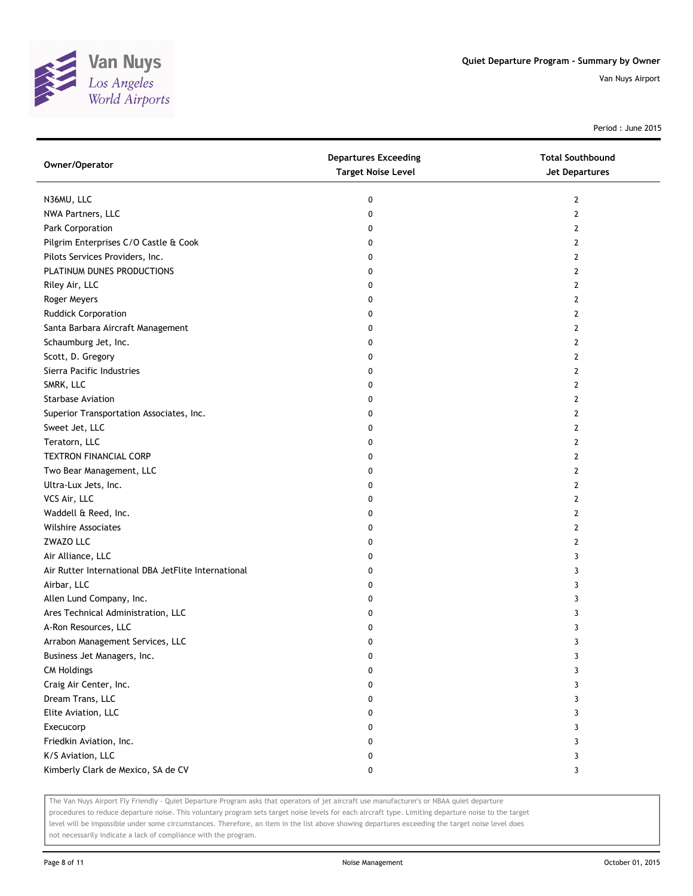

Period : June 2015

| Owner/Operator                                      | <b>Departures Exceeding</b><br><b>Target Noise Level</b> | <b>Total Southbound</b><br><b>Jet Departures</b> |
|-----------------------------------------------------|----------------------------------------------------------|--------------------------------------------------|
| N36MU, LLC                                          | 0                                                        | 2                                                |
| NWA Partners, LLC                                   | 0                                                        | $\mathbf{2}$                                     |
| Park Corporation                                    | 0                                                        | 2                                                |
| Pilgrim Enterprises C/O Castle & Cook               | 0                                                        | $\mathbf{2}$                                     |
| Pilots Services Providers, Inc.                     | 0                                                        | 2                                                |
| PLATINUM DUNES PRODUCTIONS                          | 0                                                        | 2                                                |
| Riley Air, LLC                                      | 0                                                        | $\overline{2}$                                   |
| Roger Meyers                                        | 0                                                        | $\mathbf{2}$                                     |
| <b>Ruddick Corporation</b>                          | 0                                                        | $\mathbf{2}$                                     |
| Santa Barbara Aircraft Management                   | 0                                                        | $\overline{2}$                                   |
| Schaumburg Jet, Inc.                                | 0                                                        | $\overline{2}$                                   |
| Scott, D. Gregory                                   | 0                                                        | $\overline{2}$                                   |
| Sierra Pacific Industries                           | 0                                                        | $\overline{2}$                                   |
| SMRK, LLC                                           | 0                                                        | $\mathbf{2}$                                     |
| <b>Starbase Aviation</b>                            | 0                                                        | 2                                                |
| Superior Transportation Associates, Inc.            | 0                                                        | 2                                                |
| Sweet Jet, LLC                                      | 0                                                        | 2                                                |
| Teratorn, LLC                                       | 0                                                        | 2                                                |
| <b>TEXTRON FINANCIAL CORP</b>                       | 0                                                        | $\mathbf{2}$                                     |
| Two Bear Management, LLC                            | 0                                                        | 2                                                |
| Ultra-Lux Jets, Inc.                                | 0                                                        | $\overline{2}$                                   |
| VCS Air, LLC                                        | 0                                                        | $\mathbf{2}$                                     |
| Waddell & Reed, Inc.                                | 0                                                        | $\mathbf{2}$                                     |
| <b>Wilshire Associates</b>                          | 0                                                        | $\mathbf{2}$                                     |
| ZWAZO LLC                                           | 0                                                        | 2                                                |
| Air Alliance, LLC                                   | 0                                                        | 3                                                |
| Air Rutter International DBA JetFlite International | 0                                                        | 3                                                |
| Airbar, LLC                                         | 0                                                        | 3                                                |
| Allen Lund Company, Inc.                            | 0                                                        | 3                                                |
| Ares Technical Administration, LLC                  | 0                                                        | 3                                                |
| A-Ron Resources, LLC                                | 0                                                        | 3                                                |
| Arrabon Management Services, LLC                    | 0                                                        | 3                                                |
| Business Jet Managers, Inc.                         | 0                                                        | 3                                                |
| <b>CM Holdings</b>                                  | 0                                                        | 3                                                |
| Craig Air Center, Inc.                              | 0                                                        | 3                                                |
| Dream Trans, LLC                                    | 0                                                        | 3                                                |
| Elite Aviation, LLC                                 | 0                                                        | 3                                                |
| Execucorp                                           | 0                                                        | 3                                                |
| Friedkin Aviation, Inc.                             | 0                                                        | 3                                                |
| K/S Aviation, LLC                                   | 0                                                        | 3                                                |
| Kimberly Clark de Mexico, SA de CV                  | 0                                                        | 3                                                |

The Van Nuys Airport Fly Friendly - Quiet Departure Program asks that operators of jet aircraft use manufacturer's or NBAA quiet departure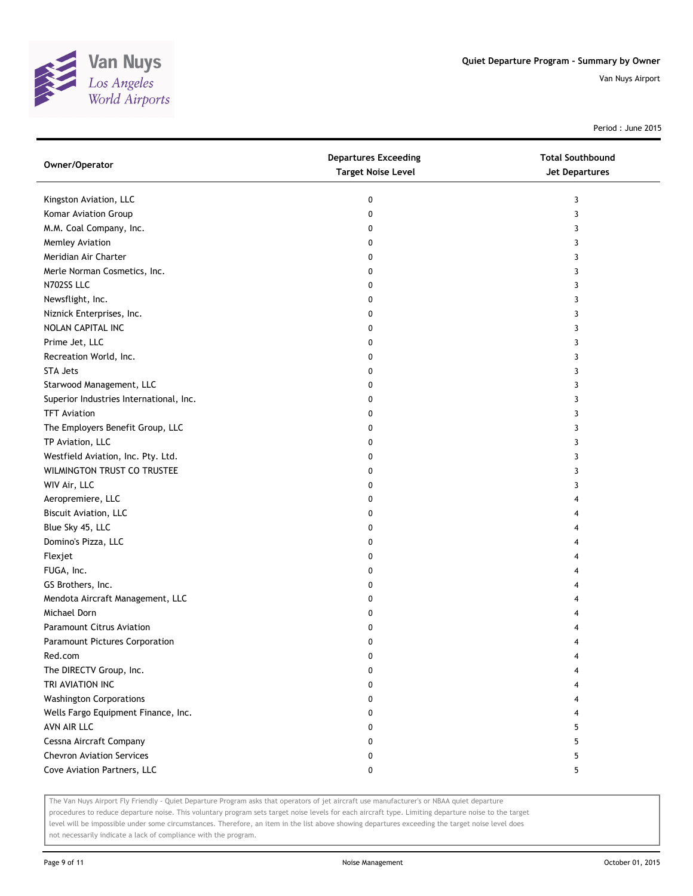

Period : June 2015

| Owner/Operator                          | <b>Departures Exceeding</b><br><b>Target Noise Level</b> | <b>Total Southbound</b><br><b>Jet Departures</b> |
|-----------------------------------------|----------------------------------------------------------|--------------------------------------------------|
| Kingston Aviation, LLC                  | 0                                                        | 3                                                |
| Komar Aviation Group                    | 0                                                        | 3                                                |
| M.M. Coal Company, Inc.                 | 0                                                        | 3                                                |
| Memley Aviation                         | 0                                                        | 3                                                |
| Meridian Air Charter                    | 0                                                        | 3                                                |
| Merle Norman Cosmetics, Inc.            | 0                                                        | 3                                                |
| N702SS LLC                              | 0                                                        | 3                                                |
| Newsflight, Inc.                        | 0                                                        | 3                                                |
| Niznick Enterprises, Inc.               | 0                                                        | 3                                                |
| NOLAN CAPITAL INC                       | 0                                                        | 3                                                |
| Prime Jet, LLC                          | 0                                                        | 3                                                |
| Recreation World, Inc.                  | 0                                                        | 3                                                |
| <b>STA Jets</b>                         | 0                                                        | 3                                                |
| Starwood Management, LLC                | 0                                                        | 3                                                |
| Superior Industries International, Inc. | 0                                                        | 3                                                |
| <b>TFT Aviation</b>                     | 0                                                        | 3                                                |
| The Employers Benefit Group, LLC        | 0                                                        | 3                                                |
| TP Aviation, LLC                        | 0                                                        | 3                                                |
| Westfield Aviation, Inc. Pty. Ltd.      | 0                                                        | 3                                                |
| WILMINGTON TRUST CO TRUSTEE             | 0                                                        | 3                                                |
| WIV Air, LLC                            | 0                                                        | 3                                                |
| Aeropremiere, LLC                       | 0                                                        | 4                                                |
| Biscuit Aviation, LLC                   | 0                                                        | 4                                                |
| Blue Sky 45, LLC                        | 0                                                        | 4                                                |
| Domino's Pizza, LLC                     | 0                                                        | 4                                                |
| Flexjet                                 | 0                                                        | 4                                                |
| FUGA, Inc.                              | 0                                                        | 4                                                |
| GS Brothers, Inc.                       | 0                                                        | 4                                                |
| Mendota Aircraft Management, LLC        | 0                                                        | 4                                                |
| Michael Dorn                            | 0                                                        | 4                                                |
| Paramount Citrus Aviation               | 0                                                        | 4                                                |
| Paramount Pictures Corporation          | 0                                                        | 4                                                |
| Red.com                                 | 0                                                        | 4                                                |
| The DIRECTV Group, Inc.                 | 0                                                        | 4                                                |
| TRI AVIATION INC                        | 0                                                        | 4                                                |
| <b>Washington Corporations</b>          | 0                                                        | 4                                                |
| Wells Fargo Equipment Finance, Inc.     | 0                                                        | 4                                                |
| AVN AIR LLC                             | 0                                                        | 5                                                |
| Cessna Aircraft Company                 | 0                                                        | 5                                                |
| <b>Chevron Aviation Services</b>        | 0                                                        | 5                                                |
| Cove Aviation Partners, LLC             | 0                                                        | 5                                                |

The Van Nuys Airport Fly Friendly - Quiet Departure Program asks that operators of jet aircraft use manufacturer's or NBAA quiet departure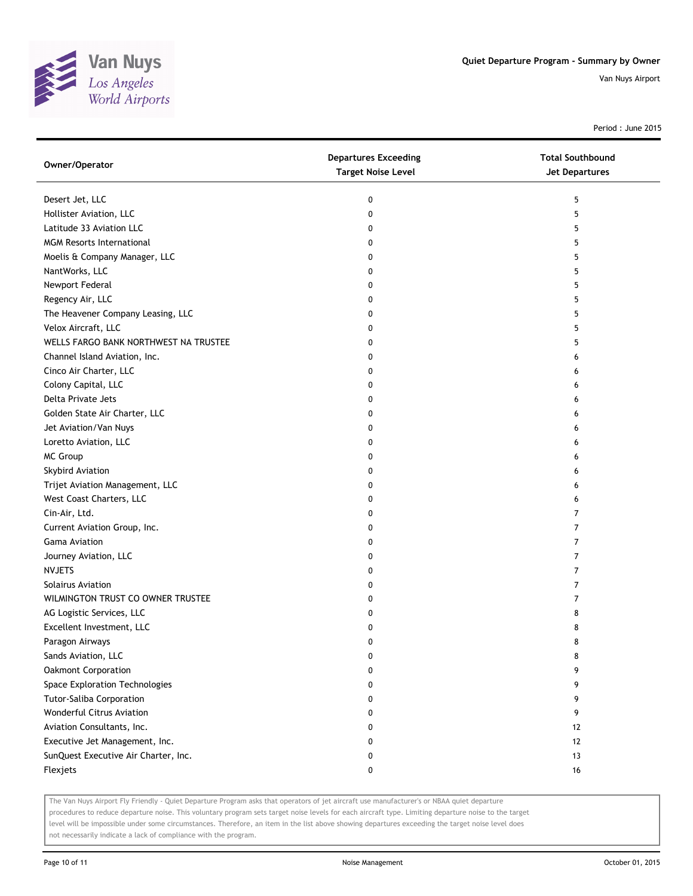

Period : June 2015

| Owner/Operator                        | <b>Departures Exceeding</b><br><b>Target Noise Level</b> | <b>Total Southbound</b><br>Jet Departures |
|---------------------------------------|----------------------------------------------------------|-------------------------------------------|
| Desert Jet, LLC                       | 0                                                        | 5                                         |
| Hollister Aviation, LLC               | 0                                                        | 5                                         |
| Latitude 33 Aviation LLC              | 0                                                        | 5                                         |
| <b>MGM Resorts International</b>      | 0                                                        | 5                                         |
| Moelis & Company Manager, LLC         | 0                                                        | 5                                         |
| NantWorks, LLC                        | 0                                                        | 5                                         |
| Newport Federal                       | 0                                                        | 5                                         |
| Regency Air, LLC                      | 0                                                        | 5                                         |
| The Heavener Company Leasing, LLC     | 0                                                        | 5                                         |
| Velox Aircraft, LLC                   | 0                                                        | 5                                         |
| WELLS FARGO BANK NORTHWEST NA TRUSTEE | 0                                                        | 5                                         |
| Channel Island Aviation, Inc.         | 0                                                        | 6                                         |
| Cinco Air Charter, LLC                | 0                                                        | 6                                         |
| Colony Capital, LLC                   | 0                                                        | 6                                         |
| Delta Private Jets                    | 0                                                        | 6                                         |
| Golden State Air Charter, LLC         | 0                                                        | 6                                         |
| Jet Aviation/Van Nuys                 | 0                                                        | 6                                         |
| Loretto Aviation, LLC                 | 0                                                        | 6                                         |
| <b>MC Group</b>                       | 0                                                        | 6                                         |
| Skybird Aviation                      | 0                                                        | 6                                         |
| Trijet Aviation Management, LLC       | 0                                                        | 6                                         |
| West Coast Charters, LLC              | 0                                                        | 6                                         |
| Cin-Air, Ltd.                         | 0                                                        | $\overline{7}$                            |
| Current Aviation Group, Inc.          | 0                                                        | 7                                         |
| <b>Gama Aviation</b>                  | 0                                                        | 7                                         |
| Journey Aviation, LLC                 | 0                                                        | $\overline{7}$                            |
| <b>NVJETS</b>                         | 0                                                        | $\overline{7}$                            |
| <b>Solairus Aviation</b>              | 0                                                        | $\overline{7}$                            |
| WILMINGTON TRUST CO OWNER TRUSTEE     | 0                                                        | 7                                         |
| AG Logistic Services, LLC             | 0                                                        | 8                                         |
| Excellent Investment, LLC             | 0                                                        | 8                                         |
| Paragon Airways                       | 0                                                        | 8                                         |
| Sands Aviation, LLC                   | 0                                                        | 8                                         |
| Oakmont Corporation                   | 0                                                        | 9                                         |
| Space Exploration Technologies        | 0                                                        | 9                                         |
| Tutor-Saliba Corporation              | 0                                                        | 9                                         |
| Wonderful Citrus Aviation             | 0                                                        | 9                                         |
| Aviation Consultants, Inc.            | 0                                                        | 12                                        |
| Executive Jet Management, Inc.        | 0                                                        | 12                                        |
| SunQuest Executive Air Charter, Inc.  | 0                                                        | 13                                        |
| Flexjets                              | 0                                                        | 16                                        |

The Van Nuys Airport Fly Friendly - Quiet Departure Program asks that operators of jet aircraft use manufacturer's or NBAA quiet departure